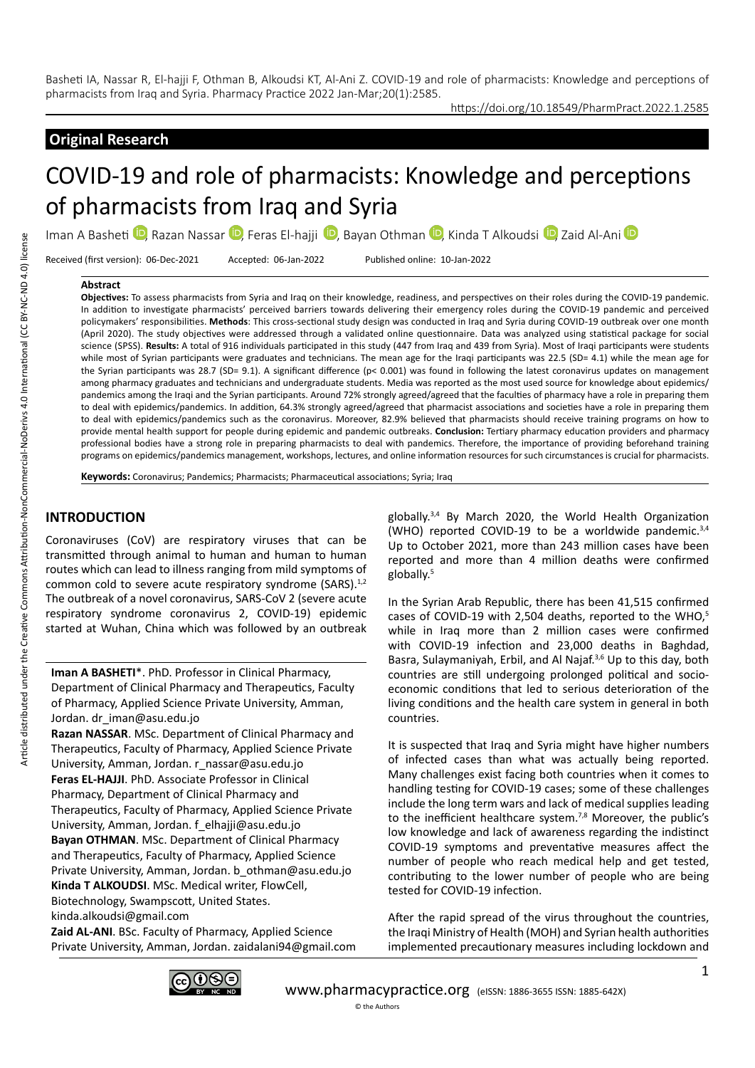## https://doi.org/10.18549/PharmPract.2022.1.2585

## **Original Research**

# COVID-19 and role of pharmacists: Knowledge and perceptions of pharmacists from Iraq and Syria

ImanA Basheti  $\mathbb Q$ , Razan Nassar  $\mathbb Q$ , Feras El-hajji  $\mathbb Q$ , Bayan Othman  $\mathbb Q$ , Kinda T Alkoudsi  $\mathbb Q$ , Zaid Al-Ani  $\mathbb Q$ 

Received (first version): 06-Dec-2021 Accepted: 06-Jan-2022 Published online: 10-Jan-2022

#### **Abstract**

**Objectives:** To assess pharmacists from Syria and Iraq on their knowledge, readiness, and perspectives on their roles during the COVID-19 pandemic. In addition to investigate pharmacists' perceived barriers towards delivering their emergency roles during the COVID-19 pandemic and perceived policymakers' responsibilities. **Methods**: This cross-sectional study design was conducted in Iraq and Syria during COVID-19 outbreak over one month (April 2020). The study objectives were addressed through a validated online questionnaire. Data was analyzed using statistical package for social science (SPSS). **Results:** A total of 916 individuals participated in this study (447 from Iraq and 439 from Syria). Most of Iraqi participants were students while most of Syrian participants were graduates and technicians. The mean age for the Iraqi participants was 22.5 (SD= 4.1) while the mean age for the Syrian participants was 28.7 (SD= 9.1). A significant difference (p< 0.001) was found in following the latest coronavirus updates on management among pharmacy graduates and technicians and undergraduate students. Media was reported as the most used source for knowledge about epidemics/ pandemics among the Iraqi and the Syrian participants. Around 72% strongly agreed/agreed that the faculties of pharmacy have a role in preparing them to deal with epidemics/pandemics. In addition, 64.3% strongly agreed/agreed that pharmacist associations and societies have a role in preparing them to deal with epidemics/pandemics such as the coronavirus. Moreover, 82.9% believed that pharmacists should receive training programs on how to provide mental health support for people during epidemic and pandemic outbreaks. **Conclusion:** Tertiary pharmacy education providers and pharmacy professional bodies have a strong role in preparing pharmacists to deal with pandemics. Therefore, the importance of providing beforehand training programs on epidemics/pandemics management, workshops, lectures, and online information resources for such circumstances is crucial for pharmacists.

**Keywords:** Coronavirus; Pandemics; Pharmacists; Pharmaceutical associations; Syria; Iraq

#### **INTRODUCTION**

Coronaviruses (CoV) are respiratory viruses that can be transmitted through animal to human and human to human routes which can lead to illness ranging from mild symptoms of common cold to severe acute respiratory syndrome (SARS).<sup>1,2</sup> The outbreak of a novel coronavirus, SARS-CoV 2 (severe acute respiratory syndrome coronavirus 2, COVID-19) epidemic started at Wuhan, China which was followed by an outbreak

**Iman A BASHETI**\*. PhD. Professor in Clinical Pharmacy, Department of Clinical Pharmacy and Therapeutics, Faculty of Pharmacy, Applied Science Private University, Amman, Jordan. dr\_iman@asu.edu.jo

**Razan NASSAR**. MSc. Department of Clinical Pharmacy and Therapeutics, Faculty of Pharmacy, Applied Science Private University, Amman, Jordan. r\_nassar@asu.edu.jo **Feras EL-HAJJI**. PhD. Associate Professor in Clinical Pharmacy, Department of Clinical Pharmacy and Therapeutics, Faculty of Pharmacy, Applied Science Private University, Amman, Jordan. f\_elhajji@asu.edu.jo **Bayan OTHMAN**. MSc. Department of Clinical Pharmacy and Therapeutics, Faculty of Pharmacy, Applied Science Private University, Amman, Jordan. b\_othman@asu.edu.jo **Kinda T ALKOUDSI**. MSc. Medical writer, FlowCell, Biotechnology, Swampscott, United States. kinda.alkoudsi@gmail.com **Zaid AL-ANI**. BSc. Faculty of Pharmacy, Applied Science Private University, Amman, Jordan. zaidalani94@gmail.com globally.3,4 By March 2020, the World Health Organization (WHO) reported COVID-19 to be a worldwide pandemic.3,4 Up to October 2021, more than 243 million cases have been reported and more than 4 million deaths were confirmed globally.5

In the Syrian Arab Republic, there has been 41,515 confirmed cases of COVID-19 with 2,504 deaths, reported to the WHO,<sup>5</sup> while in Iraq more than 2 million cases were confirmed with COVID-19 infection and 23,000 deaths in Baghdad, Basra, Sulaymaniyah, Erbil, and Al Najaf.3,6 Up to this day, both countries are still undergoing prolonged political and socioeconomic conditions that led to serious deterioration of the living conditions and the health care system in general in both countries.

It is suspected that Iraq and Syria might have higher numbers of infected cases than what was actually being reported. Many challenges exist facing both countries when it comes to handling testing for COVID-19 cases; some of these challenges include the long term wars and lack of medical supplies leading to the inefficient healthcare system.<sup>7,8</sup> Moreover, the public's low knowledge and lack of awareness regarding the indistinct COVID-19 symptoms and preventative measures affect the number of people who reach medical help and get tested, contributing to the lower number of people who are being tested for COVID-19 infection.

After the rapid spread of the virus throughout the countries, the Iraqi Ministry of Health (MOH) and Syrian health authorities implemented precautionary measures including lockdown and

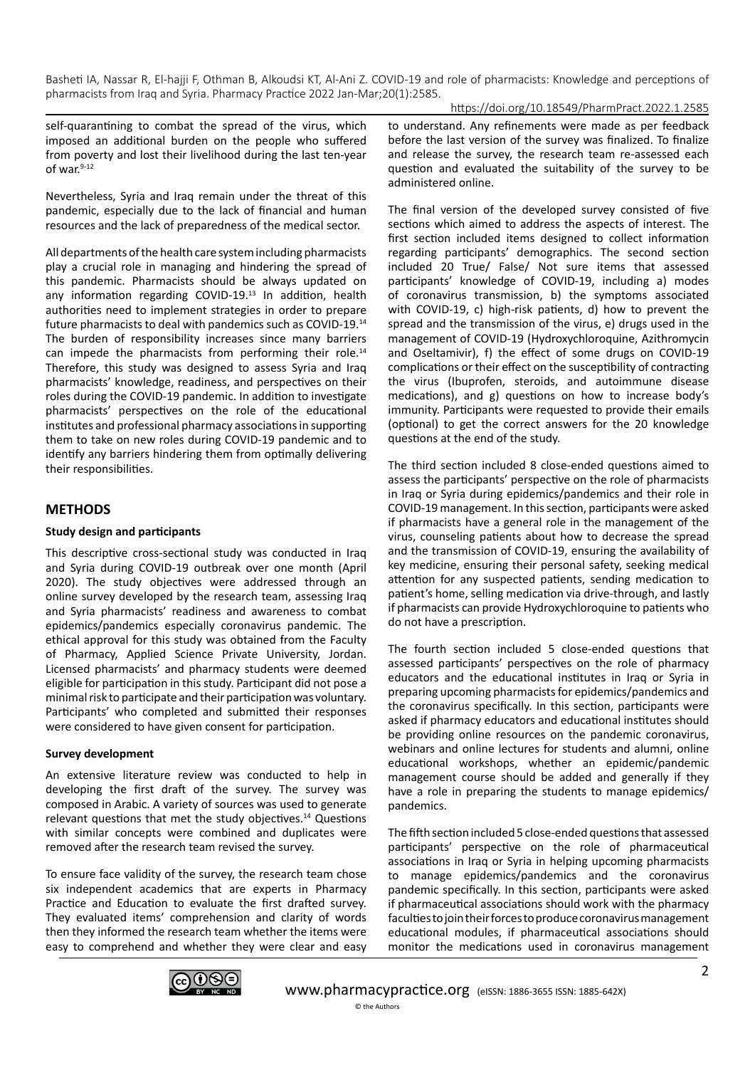https://doi.org/10.18549/PharmPract.2022.1.2585

self-quarantining to combat the spread of the virus, which imposed an additional burden on the people who suffered from poverty and lost their livelihood during the last ten-year of war.<sup>9-12</sup>

Nevertheless, Syria and Iraq remain under the threat of this pandemic, especially due to the lack of financial and human resources and the lack of preparedness of the medical sector.

All departments of the health care system including pharmacists play a crucial role in managing and hindering the spread of this pandemic. Pharmacists should be always updated on any information regarding COVID-19.<sup>13</sup> In addition, health authorities need to implement strategies in order to prepare future pharmacists to deal with pandemics such as COVID-19.14 The burden of responsibility increases since many barriers can impede the pharmacists from performing their role.<sup>14</sup> Therefore, this study was designed to assess Syria and Iraq pharmacists' knowledge, readiness, and perspectives on their roles during the COVID-19 pandemic. In addition to investigate pharmacists' perspectives on the role of the educational institutes and professional pharmacy associations in supporting them to take on new roles during COVID-19 pandemic and to identify any barriers hindering them from optimally delivering their responsibilities.

### **METHODS**

#### **Study design and participants**

This descriptive cross-sectional study was conducted in Iraq and Syria during COVID-19 outbreak over one month (April 2020). The study objectives were addressed through an online survey developed by the research team, assessing Iraq and Syria pharmacists' readiness and awareness to combat epidemics/pandemics especially coronavirus pandemic. The ethical approval for this study was obtained from the Faculty of Pharmacy, Applied Science Private University, Jordan. Licensed pharmacists' and pharmacy students were deemed eligible for participation in this study. Participant did not pose a minimal risk to participate and their participation was voluntary. Participants' who completed and submitted their responses were considered to have given consent for participation.

#### **Survey development**

An extensive literature review was conducted to help in developing the first draft of the survey. The survey was composed in Arabic. A variety of sources was used to generate relevant questions that met the study objectives.14 Questions with similar concepts were combined and duplicates were removed after the research team revised the survey.

To ensure face validity of the survey, the research team chose six independent academics that are experts in Pharmacy Practice and Education to evaluate the first drafted survey. They evaluated items' comprehension and clarity of words then they informed the research team whether the items were easy to comprehend and whether they were clear and easy to understand. Any refinements were made as per feedback before the last version of the survey was finalized. To finalize and release the survey, the research team re-assessed each question and evaluated the suitability of the survey to be administered online.

The final version of the developed survey consisted of five sections which aimed to address the aspects of interest. The first section included items designed to collect information regarding participants' demographics. The second section included 20 True/ False/ Not sure items that assessed participants' knowledge of COVID-19, including a) modes of coronavirus transmission, b) the symptoms associated with COVID-19, c) high-risk patients, d) how to prevent the spread and the transmission of the virus, e) drugs used in the management of COVID-19 (Hydroxychloroquine, Azithromycin and Oseltamivir), f) the effect of some drugs on COVID-19 complications or their effect on the susceptibility of contracting the virus (Ibuprofen, steroids, and autoimmune disease medications), and g) questions on how to increase body's immunity. Participants were requested to provide their emails (optional) to get the correct answers for the 20 knowledge questions at the end of the study.

The third section included 8 close-ended questions aimed to assess the participants' perspective on the role of pharmacists in Iraq or Syria during epidemics/pandemics and their role in COVID-19 management. In this section, participants were asked if pharmacists have a general role in the management of the virus, counseling patients about how to decrease the spread and the transmission of COVID-19, ensuring the availability of key medicine, ensuring their personal safety, seeking medical attention for any suspected patients, sending medication to patient's home, selling medication via drive-through, and lastly if pharmacists can provide Hydroxychloroquine to patients who do not have a prescription.

The fourth section included 5 close-ended questions that assessed participants' perspectives on the role of pharmacy educators and the educational institutes in Iraq or Syria in preparing upcoming pharmacists for epidemics/pandemics and the coronavirus specifically. In this section, participants were asked if pharmacy educators and educational institutes should be providing online resources on the pandemic coronavirus, webinars and online lectures for students and alumni, online educational workshops, whether an epidemic/pandemic management course should be added and generally if they have a role in preparing the students to manage epidemics/ pandemics.

The fifth section included 5 close-ended questions that assessed participants' perspective on the role of pharmaceutical associations in Iraq or Syria in helping upcoming pharmacists to manage epidemics/pandemics and the coronavirus pandemic specifically. In this section, participants were asked if pharmaceutical associations should work with the pharmacy faculties to join their forces to produce coronavirus management educational modules, if pharmaceutical associations should monitor the medications used in coronavirus management

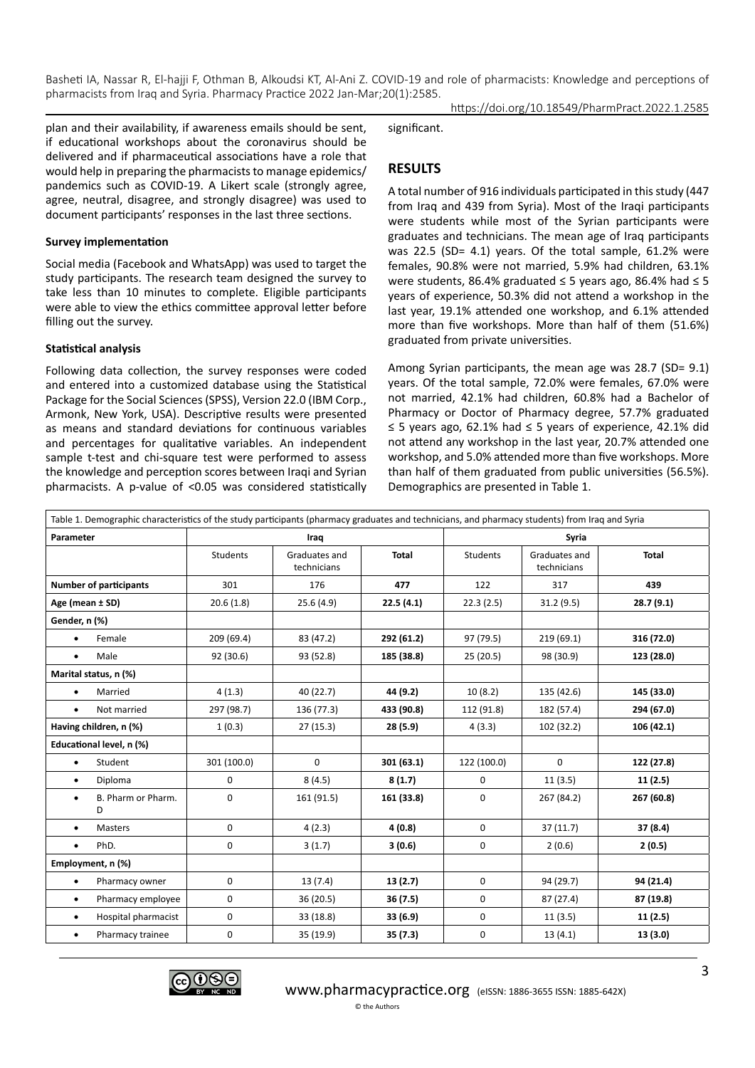https://doi.org/10.18549/PharmPract.2022.1.2585

plan and their availability, if awareness emails should be sent, if educational workshops about the coronavirus should be delivered and if pharmaceutical associations have a role that would help in preparing the pharmacists to manage epidemics/ pandemics such as COVID-19. A Likert scale (strongly agree, agree, neutral, disagree, and strongly disagree) was used to document participants' responses in the last three sections.

#### **Survey implementation**

Social media (Facebook and WhatsApp) was used to target the study participants. The research team designed the survey to take less than 10 minutes to complete. Eligible participants were able to view the ethics committee approval letter before filling out the survey.

#### **Statistical analysis**

Following data collection, the survey responses were coded and entered into a customized database using the Statistical Package for the Social Sciences (SPSS), Version 22.0 (IBM Corp., Armonk, New York, USA). Descriptive results were presented as means and standard deviations for continuous variables and percentages for qualitative variables. An independent sample t-test and chi-square test were performed to assess the knowledge and perception scores between Iraqi and Syrian pharmacists. A p-value of <0.05 was considered statistically significant.

## **RESULTS**

A total number of 916 individuals participated in this study (447 from Iraq and 439 from Syria). Most of the Iraqi participants were students while most of the Syrian participants were graduates and technicians. The mean age of Iraq participants was 22.5 (SD= 4.1) years. Of the total sample, 61.2% were females, 90.8% were not married, 5.9% had children, 63.1% were students, 86.4% graduated  $\leq$  5 years ago, 86.4% had  $\leq$  5 years of experience, 50.3% did not attend a workshop in the last year, 19.1% attended one workshop, and 6.1% attended more than five workshops. More than half of them (51.6%) graduated from private universities.

Among Syrian participants, the mean age was 28.7 (SD= 9.1) years. Of the total sample, 72.0% were females, 67.0% were not married, 42.1% had children, 60.8% had a Bachelor of Pharmacy or Doctor of Pharmacy degree, 57.7% graduated ≤ 5 years ago, 62.1% had ≤ 5 years of experience, 42.1% did not attend any workshop in the last year, 20.7% attended one workshop, and 5.0% attended more than five workshops. More than half of them graduated from public universities (56.5%). Demographics are presented in Table 1.

| Table 1. Demographic characteristics of the study participants (pharmacy graduates and technicians, and pharmacy students) from Iraq and Syria |                 |                              |            |                 |              |            |  |  |
|------------------------------------------------------------------------------------------------------------------------------------------------|-----------------|------------------------------|------------|-----------------|--------------|------------|--|--|
| Parameter                                                                                                                                      |                 | Iraq                         |            | Syria           |              |            |  |  |
|                                                                                                                                                | <b>Students</b> | Graduates and<br>technicians | Total      | <b>Students</b> | <b>Total</b> |            |  |  |
| <b>Number of participants</b>                                                                                                                  | 301             | 176                          | 477        | 122             | 317          | 439        |  |  |
| Age (mean ± SD)                                                                                                                                | 20.6(1.8)       | 25.6(4.9)                    | 22.5(4.1)  | 22.3(2.5)       | 31.2(9.5)    | 28.7(9.1)  |  |  |
| Gender, n (%)                                                                                                                                  |                 |                              |            |                 |              |            |  |  |
| Female<br>$\bullet$                                                                                                                            | 209 (69.4)      | 83 (47.2)                    | 292 (61.2) | 97 (79.5)       | 219(69.1)    | 316 (72.0) |  |  |
| Male<br>٠                                                                                                                                      | 92 (30.6)       | 93 (52.8)                    | 185 (38.8) | 25 (20.5)       | 98 (30.9)    | 123 (28.0) |  |  |
| Marital status, n (%)                                                                                                                          |                 |                              |            |                 |              |            |  |  |
| Married<br>$\bullet$                                                                                                                           | 4(1.3)          | 40 (22.7)                    | 44 (9.2)   | 10(8.2)         | 135 (42.6)   | 145 (33.0) |  |  |
| Not married<br>$\bullet$                                                                                                                       | 297 (98.7)      | 136 (77.3)                   | 433 (90.8) | 112 (91.8)      | 182 (57.4)   | 294 (67.0) |  |  |
| Having children, n (%)                                                                                                                         | 1(0.3)          | 27(15.3)                     | 28(5.9)    | 4(3.3)          | 102 (32.2)   | 106 (42.1) |  |  |
| Educational level, n (%)                                                                                                                       |                 |                              |            |                 |              |            |  |  |
| Student<br>$\bullet$                                                                                                                           | 301 (100.0)     | 0                            | 301(63.1)  | 122 (100.0)     | $\mathbf 0$  | 122 (27.8) |  |  |
| Diploma<br>$\bullet$                                                                                                                           | 0               | 8(4.5)                       | 8(1.7)     | 0               | 11(3.5)      | 11(2.5)    |  |  |
| B. Pharm or Pharm.<br>٠<br>D                                                                                                                   | 0               | 161 (91.5)                   | 161 (33.8) | 0               | 267 (84.2)   | 267 (60.8) |  |  |
| <b>Masters</b><br>$\bullet$                                                                                                                    | 0               | 4(2.3)                       | 4(0.8)     | 0               | 37(11.7)     | 37 (8.4)   |  |  |
| PhD.<br>$\bullet$                                                                                                                              | 0               | 3(1.7)                       | 3(0.6)     | 0               | 2(0.6)       | 2(0.5)     |  |  |
| Employment, n (%)                                                                                                                              |                 |                              |            |                 |              |            |  |  |
| Pharmacy owner<br>$\bullet$                                                                                                                    | 0               | 13(7.4)                      | 13(2.7)    | $\mathbf 0$     | 94 (29.7)    | 94 (21.4)  |  |  |
| Pharmacy employee<br>$\bullet$                                                                                                                 | 0               | 36 (20.5)                    | 36(7.5)    | 0               | 87 (27.4)    | 87 (19.8)  |  |  |
| Hospital pharmacist<br>$\bullet$                                                                                                               | 0               | 33 (18.8)                    | 33(6.9)    | 0               | 11(3.5)      | 11(2.5)    |  |  |
| Pharmacy trainee<br>$\bullet$                                                                                                                  | 0               | 35 (19.9)                    | 35 (7.3)   | 0               | 13(4.1)      | 13 (3.0)   |  |  |

© the Authors

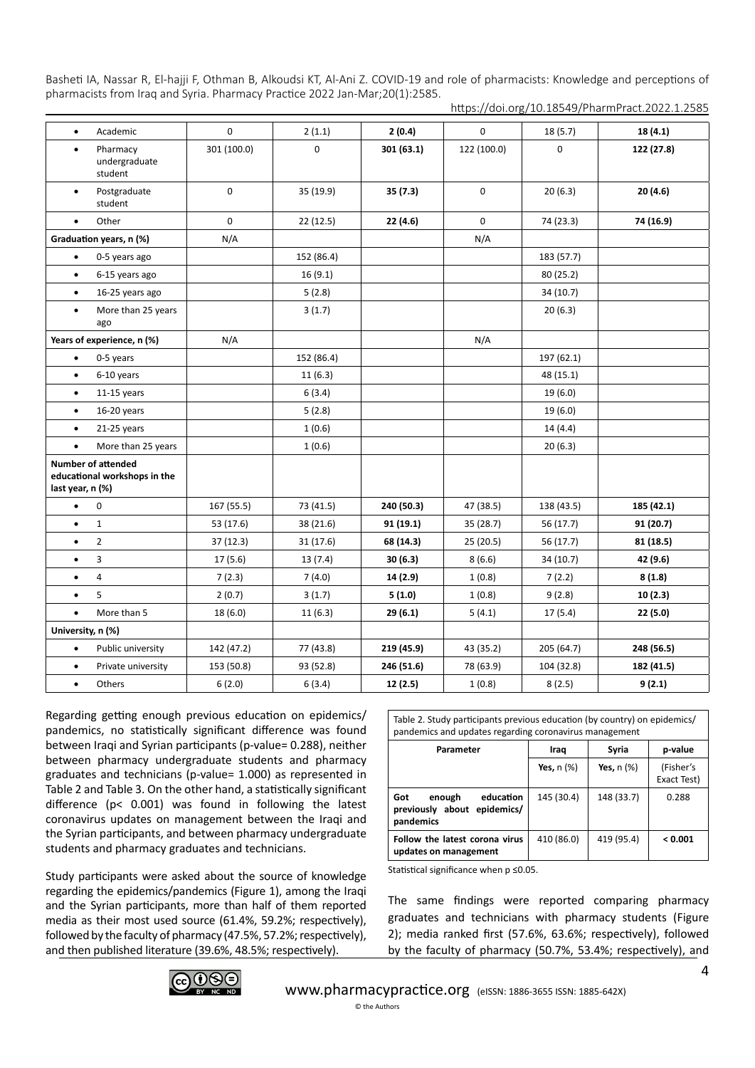| Academic<br>$\bullet$                                                  | 0           | 2(1.1)      | 2(0.4)     | $\Omega$    | 18 (5.7)   | 18 (4.1)   |
|------------------------------------------------------------------------|-------------|-------------|------------|-------------|------------|------------|
| Pharmacy<br>$\bullet$<br>undergraduate<br>student                      | 301 (100.0) | $\mathbf 0$ | 301(63.1)  | 122 (100.0) | 0          | 122 (27.8) |
| Postgraduate<br>$\bullet$<br>student                                   | 0           | 35 (19.9)   | 35 (7.3)   | 0           | 20(6.3)    | 20(4.6)    |
| Other<br>$\bullet$                                                     | 0           | 22 (12.5)   | 22 (4.6)   | 0           | 74 (23.3)  | 74 (16.9)  |
| Graduation years, n (%)                                                | N/A         |             |            | N/A         |            |            |
| $\bullet$<br>0-5 years ago                                             |             | 152 (86.4)  |            |             | 183 (57.7) |            |
| 6-15 years ago<br>$\bullet$                                            |             | 16(9.1)     |            |             | 80 (25.2)  |            |
| 16-25 years ago<br>$\bullet$                                           |             | 5(2.8)      |            |             | 34(10.7)   |            |
| More than 25 years<br>$\bullet$<br>ago                                 |             | 3(1.7)      |            |             | 20(6.3)    |            |
| Years of experience, n (%)                                             | N/A         |             |            | N/A         |            |            |
| 0-5 years<br>$\bullet$                                                 |             | 152 (86.4)  |            |             | 197 (62.1) |            |
| 6-10 years<br>$\bullet$                                                |             | 11(6.3)     |            |             | 48 (15.1)  |            |
| $11-15$ years<br>$\bullet$                                             |             | 6(3.4)      |            |             | 19 (6.0)   |            |
| 16-20 years<br>$\bullet$                                               |             | 5(2.8)      |            |             | 19 (6.0)   |            |
| $21-25$ years<br>$\bullet$                                             |             | 1(0.6)      |            |             | 14(4.4)    |            |
| More than 25 years<br>$\bullet$                                        |             | 1(0.6)      |            |             | 20(6.3)    |            |
| Number of attended<br>educational workshops in the<br>last year, n (%) |             |             |            |             |            |            |
| 0<br>$\bullet$                                                         | 167 (55.5)  | 73 (41.5)   | 240 (50.3) | 47 (38.5)   | 138 (43.5) | 185 (42.1) |
| $\mathbf{1}$<br>$\bullet$                                              | 53 (17.6)   | 38 (21.6)   | 91 (19.1)  | 35 (28.7)   | 56 (17.7)  | 91 (20.7)  |
| $\overline{2}$<br>$\bullet$                                            | 37 (12.3)   | 31 (17.6)   | 68 (14.3)  | 25 (20.5)   | 56 (17.7)  | 81 (18.5)  |
| 3<br>$\bullet$                                                         | 17(5.6)     | 13(7.4)     | 30(6.3)    | 8(6.6)      | 34 (10.7)  | 42 (9.6)   |
| 4<br>$\bullet$                                                         | 7(2.3)      | 7(4.0)      | 14 (2.9)   | 1(0.8)      | 7(2.2)     | 8(1.8)     |
| 5<br>$\bullet$                                                         | 2(0.7)      | 3(1.7)      | 5(1.0)     | 1(0.8)      | 9(2.8)     | 10(2.3)    |
| $\bullet$<br>More than 5                                               | 18 (6.0)    | 11(6.3)     | 29(6.1)    | 5(4.1)      | 17(5.4)    | 22 (5.0)   |
| University, n (%)                                                      |             |             |            |             |            |            |
| Public university<br>$\bullet$                                         | 142 (47.2)  | 77 (43.8)   | 219 (45.9) | 43 (35.2)   | 205 (64.7) | 248 (56.5) |
| $\bullet$<br>Private university                                        | 153 (50.8)  | 93 (52.8)   | 246 (51.6) | 78 (63.9)   | 104 (32.8) | 182 (41.5) |
| Others<br>$\bullet$                                                    | 6(2.0)      | 6(3.4)      | 12 (2.5)   | 1(0.8)      | 8(2.5)     | 9(2.1)     |

https://doi.org/10.18549/PharmPract.2022.1.2585

Regarding getting enough previous education on epidemics/ pandemics, no statistically significant difference was found between Iraqi and Syrian participants (p-value= 0.288), neither between pharmacy undergraduate students and pharmacy graduates and technicians (p-value= 1.000) as represented in Table 2 and Table 3. On the other hand, a statistically significant difference (p< 0.001) was found in following the latest coronavirus updates on management between the Iraqi and the Syrian participants, and between pharmacy undergraduate students and pharmacy graduates and technicians.

Study participants were asked about the source of knowledge regarding the epidemics/pandemics (Figure 1), among the Iraqi and the Syrian participants, more than half of them reported media as their most used source (61.4%, 59.2%; respectively), followed by the faculty of pharmacy (47.5%, 57.2%; respectively), and then published literature (39.6%, 48.5%; respectively).

Table 2. Study participants previous education (by country) on epidemics/ pandemics and updates regarding coronavirus management

| Parameter                                                                 | Iraq            | Syria           | p-value                  |
|---------------------------------------------------------------------------|-----------------|-----------------|--------------------------|
|                                                                           | Yes, $n$ $(\%)$ | Yes, $n$ $(\%)$ | (Fisher's<br>Exact Test) |
| education<br>enough<br>Got<br>epidemics/<br>previously about<br>pandemics | 145 (30.4)      | 148 (33.7)      | 0.288                    |
| Follow the latest corona virus<br>updates on management                   | 410 (86.0)      | 419 (95.4)      | < 0.001                  |

Statistical significance when p ≤0.05.

The same findings were reported comparing pharmacy graduates and technicians with pharmacy students (Figure 2); media ranked first (57.6%, 63.6%; respectively), followed by the faculty of pharmacy (50.7%, 53.4%; respectively), and

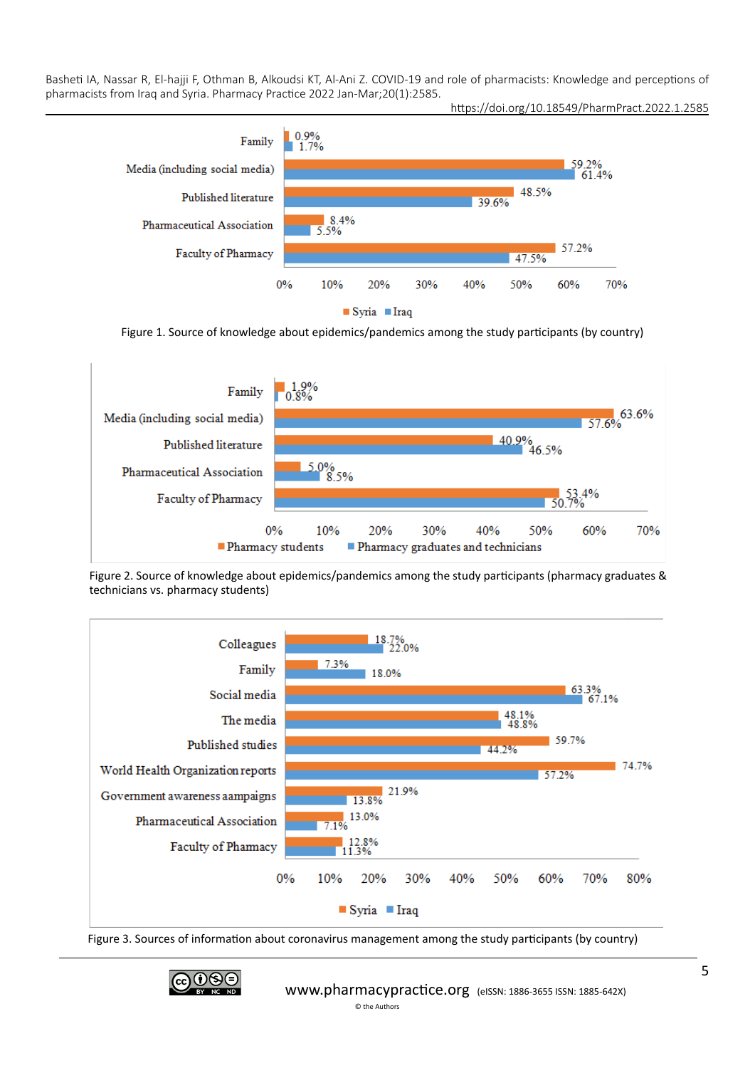



Figure 1. Source of knowledge about epidemics/pandemics among the study participants (by country)



Figure 2. Source of knowledge about epidemics/pandemics among the study participants (pharmacy graduates & technicians vs. pharmacy students)



Figure 3. Sources of information about coronavirus management among the study participants (by country)

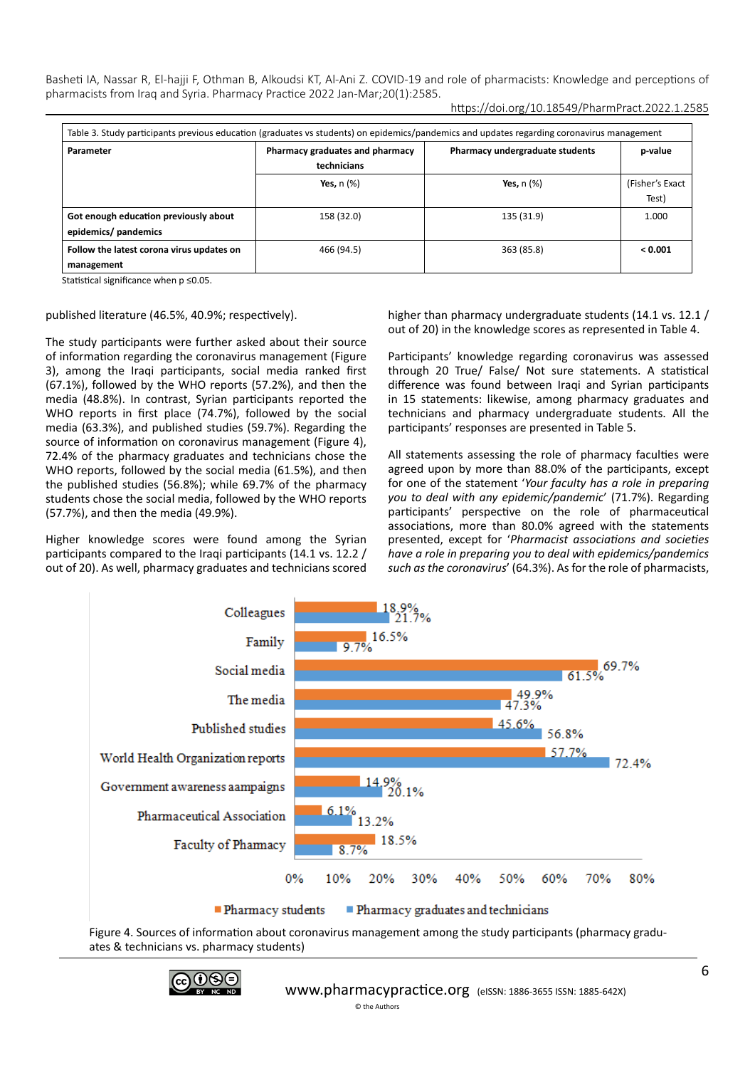| Table 3. Study participants previous education (graduates vs students) on epidemics/pandemics and updates regarding coronavirus management |                                                                    |                 |                 |  |  |  |  |
|--------------------------------------------------------------------------------------------------------------------------------------------|--------------------------------------------------------------------|-----------------|-----------------|--|--|--|--|
| Parameter                                                                                                                                  | Pharmacy graduates and pharmacy<br>Pharmacy undergraduate students |                 |                 |  |  |  |  |
|                                                                                                                                            | technicians                                                        |                 |                 |  |  |  |  |
|                                                                                                                                            | Yes, $n$ $(\%)$                                                    | Yes, $n$ $(\%)$ | (Fisher's Exact |  |  |  |  |
|                                                                                                                                            |                                                                    |                 | Test)           |  |  |  |  |
| Got enough education previously about                                                                                                      | 158 (32.0)                                                         | 135 (31.9)      | 1.000           |  |  |  |  |
| epidemics/ pandemics                                                                                                                       |                                                                    |                 |                 |  |  |  |  |
| Follow the latest corona virus updates on                                                                                                  | 466 (94.5)                                                         | 363 (85.8)      | < 0.001         |  |  |  |  |
| management                                                                                                                                 |                                                                    |                 |                 |  |  |  |  |

Statistical significance when p ≤0.05.

#### published literature (46.5%, 40.9%; respectively).

The study participants were further asked about their source of information regarding the coronavirus management (Figure 3), among the Iraqi participants, social media ranked first (67.1%), followed by the WHO reports (57.2%), and then the media (48.8%). In contrast, Syrian participants reported the WHO reports in first place (74.7%), followed by the social media (63.3%), and published studies (59.7%). Regarding the source of information on coronavirus management (Figure 4), 72.4% of the pharmacy graduates and technicians chose the WHO reports, followed by the social media (61.5%), and then the published studies (56.8%); while 69.7% of the pharmacy students chose the social media, followed by the WHO reports (57.7%), and then the media (49.9%).

Higher knowledge scores were found among the Syrian participants compared to the Iraqi participants (14.1 vs. 12.2 / out of 20). As well, pharmacy graduates and technicians scored higher than pharmacy undergraduate students (14.1 vs. 12.1 / out of 20) in the knowledge scores as represented in Table 4.

Participants' knowledge regarding coronavirus was assessed through 20 True/ False/ Not sure statements. A statistical difference was found between Iraqi and Syrian participants in 15 statements: likewise, among pharmacy graduates and technicians and pharmacy undergraduate students. All the participants' responses are presented in Table 5.

All statements assessing the role of pharmacy faculties were agreed upon by more than 88.0% of the participants, except for one of the statement '*Your faculty has a role in preparing you to deal with any epidemic/pandemic*' (71.7%). Regarding participants' perspective on the role of pharmaceutical associations, more than 80.0% agreed with the statements presented, except for '*Pharmacist associations and societies have a role in preparing you to deal with epidemics/pandemics such as the coronavirus*' (64.3%). As for the role of pharmacists,



Figure 4. Sources of information about coronavirus management among the study participants (pharmacy graduates & technicians vs. pharmacy students)

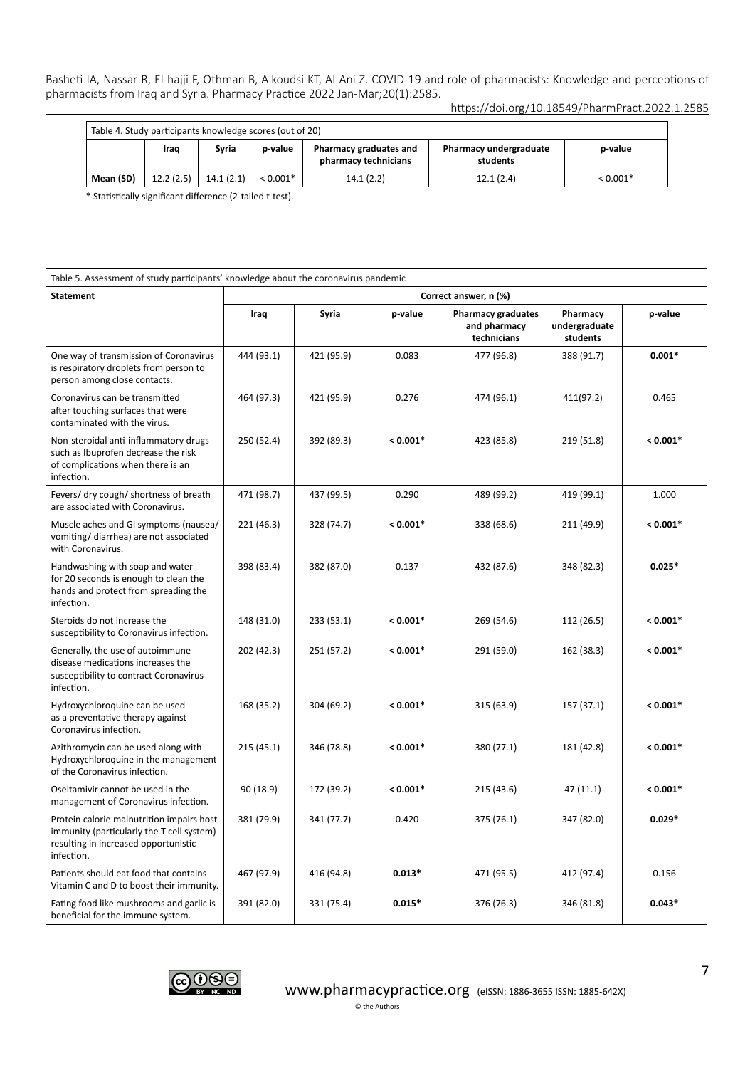| Table 4. Study participants knowledge scores (out of 20) |           |           |            |                                                |                                    |            |  |
|----------------------------------------------------------|-----------|-----------|------------|------------------------------------------------|------------------------------------|------------|--|
|                                                          | Iraq      | Svria     | p-value    | Pharmacy graduates and<br>pharmacy technicians | Pharmacy undergraduate<br>students | p-value    |  |
| Mean (SD)                                                | 12.2(2.5) | 14.1(2.1) | $< 0.001*$ | 14.1(2.2)                                      | 12.1(2.4)                          | $< 0.001*$ |  |

\* Statistically significant difference (2-tailed t-test).

| Table 5. Assessment of study participants' knowledge about the coronavirus pandemic                                                          |                       |            |            |                                                          |                                       |            |  |
|----------------------------------------------------------------------------------------------------------------------------------------------|-----------------------|------------|------------|----------------------------------------------------------|---------------------------------------|------------|--|
| <b>Statement</b>                                                                                                                             | Correct answer, n (%) |            |            |                                                          |                                       |            |  |
|                                                                                                                                              | Iraq                  | Syria      | p-value    | <b>Pharmacy graduates</b><br>and pharmacy<br>technicians | Pharmacy<br>undergraduate<br>students | p-value    |  |
| One way of transmission of Coronavirus<br>is respiratory droplets from person to<br>person among close contacts.                             | 444 (93.1)            | 421 (95.9) | 0.083      | 477 (96.8)                                               | 388 (91.7)                            | $0.001*$   |  |
| Coronavirus can be transmitted<br>after touching surfaces that were<br>contaminated with the virus.                                          | 464 (97.3)            | 421 (95.9) | 0.276      | 474 (96.1)                                               | 411(97.2)                             | 0.465      |  |
| Non-steroidal anti-inflammatory drugs<br>such as Ibuprofen decrease the risk<br>of complications when there is an<br>infection.              | 250 (52.4)            | 392 (89.3) | $< 0.001*$ | 423 (85.8)                                               | 219 (51.8)                            | $< 0.001*$ |  |
| Fevers/ dry cough/ shortness of breath<br>are associated with Coronavirus.                                                                   | 471 (98.7)            | 437 (99.5) | 0.290      | 489 (99.2)                                               | 419 (99.1)                            | 1.000      |  |
| Muscle aches and GI symptoms (nausea/<br>vomiting/diarrhea) are not associated<br>with Coronavirus.                                          | 221 (46.3)            | 328 (74.7) | $< 0.001*$ | 338 (68.6)                                               | 211 (49.9)                            | $< 0.001*$ |  |
| Handwashing with soap and water<br>for 20 seconds is enough to clean the<br>hands and protect from spreading the<br>infection.               | 398 (83.4)            | 382 (87.0) | 0.137      | 432 (87.6)                                               | 348 (82.3)                            | $0.025*$   |  |
| Steroids do not increase the<br>susceptibility to Coronavirus infection.                                                                     | 148 (31.0)            | 233 (53.1) | $< 0.001*$ | 269 (54.6)                                               | 112 (26.5)                            | $< 0.001*$ |  |
| Generally, the use of autoimmune<br>disease medications increases the<br>susceptibility to contract Coronavirus<br>infection.                | 202 (42.3)            | 251 (57.2) | $< 0.001*$ | 291 (59.0)                                               | 162 (38.3)                            | $< 0.001*$ |  |
| Hydroxychloroquine can be used<br>as a preventative therapy against<br>Coronavirus infection.                                                | 168 (35.2)            | 304 (69.2) | $< 0.001*$ | 315 (63.9)                                               | 157 (37.1)                            | $< 0.001*$ |  |
| Azithromycin can be used along with<br>Hydroxychloroquine in the management<br>of the Coronavirus infection.                                 | 215(45.1)             | 346 (78.8) | $< 0.001*$ | 380 (77.1)                                               | 181 (42.8)                            | $< 0.001*$ |  |
| Oseltamivir cannot be used in the<br>management of Coronavirus infection.                                                                    | 90 (18.9)             | 172 (39.2) | $< 0.001*$ | 215 (43.6)                                               | 47(11.1)                              | $< 0.001*$ |  |
| Protein calorie malnutrition impairs host<br>immunity (particularly the T-cell system)<br>resulting in increased opportunistic<br>infection. | 381 (79.9)            | 341 (77.7) | 0.420      | 375 (76.1)                                               | 347 (82.0)                            | $0.029*$   |  |
| Patients should eat food that contains<br>Vitamin C and D to boost their immunity.                                                           | 467 (97.9)            | 416 (94.8) | $0.013*$   | 471 (95.5)                                               | 412 (97.4)                            | 0.156      |  |
| Eating food like mushrooms and garlic is<br>beneficial for the immune system.                                                                | 391 (82.0)            | 331 (75.4) | $0.015*$   | 376 (76.3)                                               | 346 (81.8)                            | $0.043*$   |  |

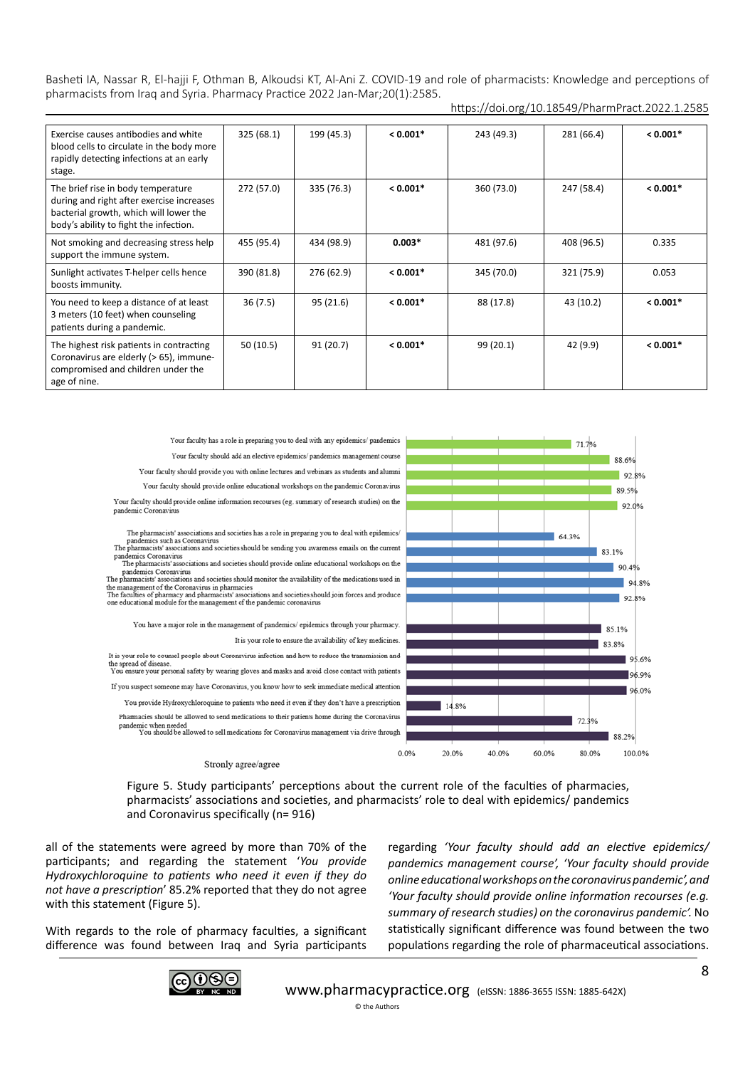| Exercise causes antibodies and white<br>blood cells to circulate in the body more<br>rapidly detecting infections at an early<br>stage.                             | 325 (68.1) | 199 (45.3) | $< 0.001*$ | 243 (49.3) | 281 (66.4) | $< 0.001*$ |
|---------------------------------------------------------------------------------------------------------------------------------------------------------------------|------------|------------|------------|------------|------------|------------|
| The brief rise in body temperature<br>during and right after exercise increases<br>bacterial growth, which will lower the<br>body's ability to fight the infection. | 272 (57.0) | 335 (76.3) | $< 0.001*$ | 360 (73.0) | 247 (58.4) | $< 0.001*$ |
| Not smoking and decreasing stress help<br>support the immune system.                                                                                                | 455 (95.4) | 434 (98.9) | $0.003*$   | 481 (97.6) | 408 (96.5) | 0.335      |
| Sunlight activates T-helper cells hence<br>boosts immunity.                                                                                                         | 390 (81.8) | 276 (62.9) | $< 0.001*$ | 345 (70.0) | 321 (75.9) | 0.053      |
| You need to keep a distance of at least<br>3 meters (10 feet) when counseling<br>patients during a pandemic.                                                        | 36(7.5)    | 95(21.6)   | $< 0.001*$ | 88 (17.8)  | 43 (10.2)  | $< 0.001*$ |
| The highest risk patients in contracting<br>Coronavirus are elderly (> 65), immune-<br>compromised and children under the<br>age of nine.                           | 50(10.5)   | 91 (20.7)  | $< 0.001*$ | 99 (20.1)  | 42 (9.9)   | $< 0.001*$ |



Figure 5. Study participants' perceptions about the current role of the faculties of pharmacies,

pharmacists' associations and societies, and pharmacists' role to deal with epidemics/ pandemics and Coronavirus specifically (n= 916)

all of the statements were agreed by more than 70% of the participants; and regarding the statement '*You provide Hydroxychloroquine to patients who need it even if they do not have a prescription*' 85.2% reported that they do not agree with this statement (Figure 5).

With regards to the role of pharmacy faculties, a significant difference was found between Iraq and Syria participants regarding *'Your faculty should add an elective epidemics/ pandemics management course', 'Your faculty should provide online educational workshops on the coronavirus pandemic', and 'Your faculty should provide online information recourses (e.g. summary of research studies) on the coronavirus pandemic'.* No statistically significant difference was found between the two populations regarding the role of pharmaceutical associations.

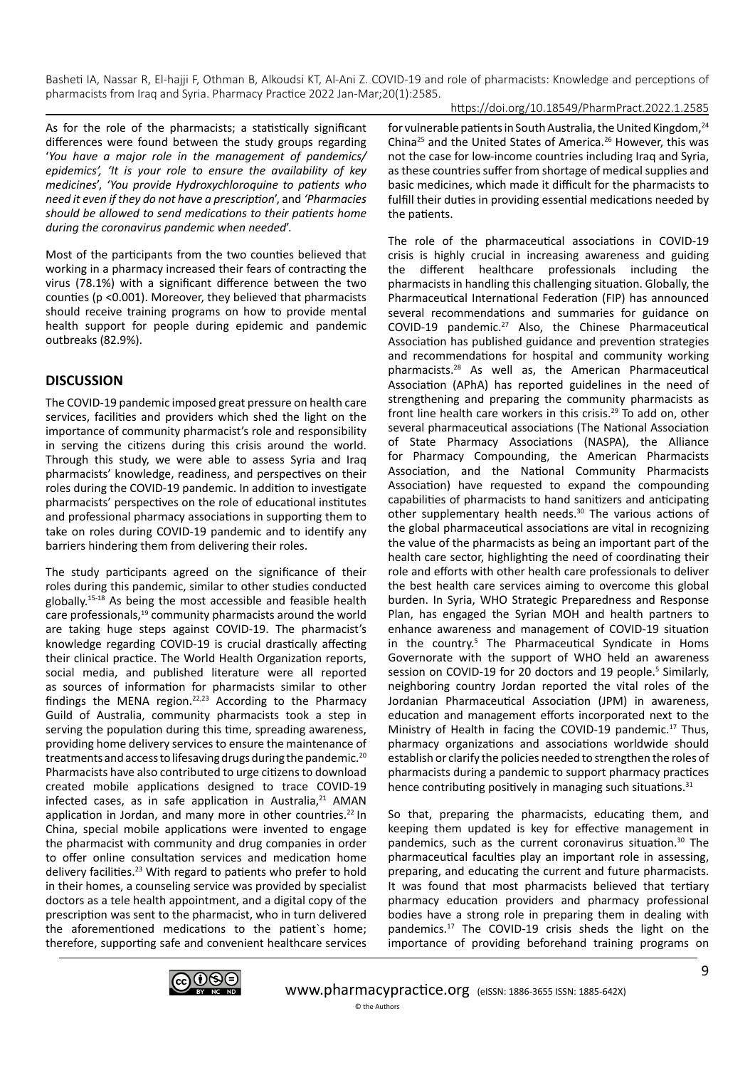https://doi.org/10.18549/PharmPract.2022.1.2585

As for the role of the pharmacists; a statistically significant differences were found between the study groups regarding '*You have a major role in the management of pandemics/ epidemics', 'It is your role to ensure the availability of key medicines*', *'You provide Hydroxychloroquine to patients who need it even if they do not have a prescription*', and *'Pharmacies should be allowed to send medications to their patients home during the coronavirus pandemic when needed*'.

Most of the participants from the two counties believed that working in a pharmacy increased their fears of contracting the virus (78.1%) with a significant difference between the two counties (p <0.001). Moreover, they believed that pharmacists should receive training programs on how to provide mental health support for people during epidemic and pandemic outbreaks (82.9%).

## **DISCUSSION**

The COVID-19 pandemic imposed great pressure on health care services, facilities and providers which shed the light on the importance of community pharmacist's role and responsibility in serving the citizens during this crisis around the world. Through this study, we were able to assess Syria and Iraq pharmacists' knowledge, readiness, and perspectives on their roles during the COVID-19 pandemic. In addition to investigate pharmacists' perspectives on the role of educational institutes and professional pharmacy associations in supporting them to take on roles during COVID-19 pandemic and to identify any barriers hindering them from delivering their roles.

The study participants agreed on the significance of their roles during this pandemic, similar to other studies conducted globally.15-18 As being the most accessible and feasible health care professionals,<sup>19</sup> community pharmacists around the world are taking huge steps against COVID-19. The pharmacist's knowledge regarding COVID-19 is crucial drastically affecting their clinical practice. The World Health Organization reports, social media, and published literature were all reported as sources of information for pharmacists similar to other findings the MENA region.<sup>22,23</sup> According to the Pharmacy Guild of Australia, community pharmacists took a step in serving the population during this time, spreading awareness, providing home delivery services to ensure the maintenance of treatments and access to lifesaving drugs during the pandemic.20 Pharmacists have also contributed to urge citizens to download created mobile applications designed to trace COVID-19 infected cases, as in safe application in Australia, $21$  AMAN application in Jordan, and many more in other countries. $^{22}$  In China, special mobile applications were invented to engage the pharmacist with community and drug companies in order to offer online consultation services and medication home delivery facilities.<sup>23</sup> With regard to patients who prefer to hold in their homes, a counseling service was provided by specialist doctors as a tele health appointment, and a digital copy of the prescription was sent to the pharmacist, who in turn delivered the aforementioned medications to the patient`s home; therefore, supporting safe and convenient healthcare services

for vulnerable patients in South Australia, the United Kingdom, <sup>24</sup> China25 and the United States of America.26 However, this was not the case for low-income countries including Iraq and Syria, as these countries suffer from shortage of medical supplies and basic medicines, which made it difficult for the pharmacists to fulfill their duties in providing essential medications needed by the patients.

The role of the pharmaceutical associations in COVID-19 crisis is highly crucial in increasing awareness and guiding the different healthcare professionals including the pharmacists in handling this challenging situation. Globally, the Pharmaceutical International Federation (FIP) has announced several recommendations and summaries for guidance on COVID-19 pandemic.27 Also, the Chinese Pharmaceutical Association has published guidance and prevention strategies and recommendations for hospital and community working pharmacists.28 As well as, the American Pharmaceutical Association (APhA) has reported guidelines in the need of strengthening and preparing the community pharmacists as front line health care workers in this crisis.29 To add on, other several pharmaceutical associations (The National Association of State Pharmacy Associations (NASPA), the Alliance for Pharmacy Compounding, the American Pharmacists Association, and the National Community Pharmacists Association) have requested to expand the compounding capabilities of pharmacists to hand sanitizers and anticipating other supplementary health needs.<sup>30</sup> The various actions of the global pharmaceutical associations are vital in recognizing the value of the pharmacists as being an important part of the health care sector, highlighting the need of coordinating their role and efforts with other health care professionals to deliver the best health care services aiming to overcome this global burden. In Syria, WHO Strategic Preparedness and Response Plan, has engaged the Syrian MOH and health partners to enhance awareness and management of COVID-19 situation in the country.<sup>5</sup> The Pharmaceutical Syndicate in Homs Governorate with the support of WHO held an awareness session on COVID-19 for 20 doctors and 19 people.<sup>5</sup> Similarly, neighboring country Jordan reported the vital roles of the Jordanian Pharmaceutical Association (JPM) in awareness, education and management efforts incorporated next to the Ministry of Health in facing the COVID-19 pandemic.<sup>17</sup> Thus, pharmacy organizations and associations worldwide should establish or clarify the policies needed to strengthen the roles of pharmacists during a pandemic to support pharmacy practices hence contributing positively in managing such situations.<sup>31</sup>

So that, preparing the pharmacists, educating them, and keeping them updated is key for effective management in pandemics, such as the current coronavirus situation.30 The pharmaceutical faculties play an important role in assessing, preparing, and educating the current and future pharmacists. It was found that most pharmacists believed that tertiary pharmacy education providers and pharmacy professional bodies have a strong role in preparing them in dealing with pandemics.17 The COVID-19 crisis sheds the light on the importance of providing beforehand training programs on

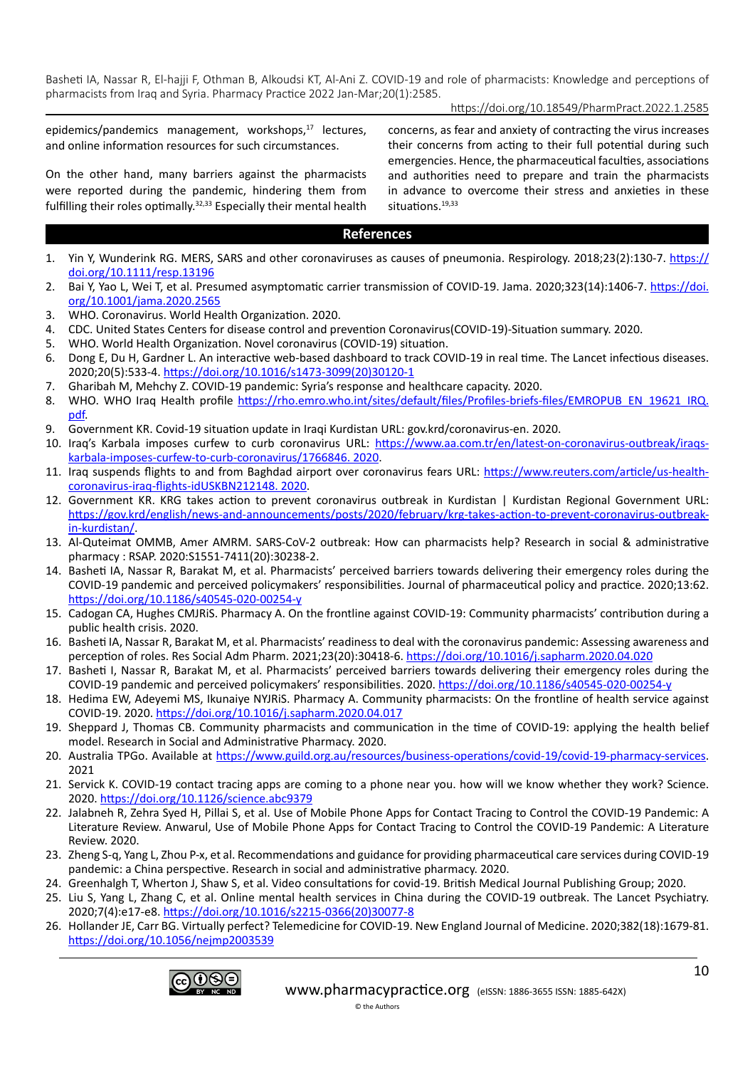## https://doi.org/10.18549/PharmPract.2022.1.2585

epidemics/pandemics management, workshops,<sup>17</sup> lectures, and online information resources for such circumstances.

On the other hand, many barriers against the pharmacists were reported during the pandemic, hindering them from fulfilling their roles optimally.32,33 Especially their mental health concerns, as fear and anxiety of contracting the virus increases their concerns from acting to their full potential during such emergencies. Hence, the pharmaceutical faculties, associations and authorities need to prepare and train the pharmacists in advance to overcome their stress and anxieties in these situations.<sup>19,33</sup>

#### **References**

- 1. Yin Y, Wunderink RG. MERS, SARS and other coronaviruses as causes of pneumonia. Respirology. 2018;23(2):130-7. [https://](https://doi.org/10.1111/resp.13196) [doi.org/10.1111/resp.13196](https://doi.org/10.1111/resp.13196)
- 2. Bai Y, Yao L, Wei T, et al. Presumed asymptomatic carrier transmission of COVID-19. Jama. 2020;323(14):1406-7. [https://doi.](https://doi.org/10.1001/jama.2020.2565) [org/10.1001/jama.2020.2565](https://doi.org/10.1001/jama.2020.2565)
- 3. WHO. Coronavirus. World Health Organization. 2020.
- 4. CDC. United States Centers for disease control and prevention Coronavirus(COVID-19)-Situation summary. 2020.
- 5. WHO. World Health Organization. Novel coronavirus (COVID-19) situation.
- 6. Dong E, Du H, Gardner L. An interactive web-based dashboard to track COVID-19 in real time. The Lancet infectious diseases. 2020;20(5):533-4. [https://doi.org/10.1016/s1473-3099\(20\)30120-1](https://doi.org/10.1016/s1473-3099(20)30120-1)
- 7. Gharibah M, Mehchy Z. COVID-19 pandemic: Syria's response and healthcare capacity. 2020.
- 8. WHO. WHO Iraq Health profile [https://rho.emro.who.int/sites/default/files/Profiles-briefs-files/EMROPUB\\_EN\\_19621\\_IRQ.](https://rho.emro.who.int/sites/default/files/Profiles-briefs-files/EMROPUB_EN_19621_IRQ.pdf) [pdf](https://rho.emro.who.int/sites/default/files/Profiles-briefs-files/EMROPUB_EN_19621_IRQ.pdf).
- 9. Government KR. Covid-19 situation update in Iraqi Kurdistan URL: gov.krd/coronavirus-en. 2020.
- 10. Iraq's Karbala imposes curfew to curb coronavirus URL: [https://www.aa.com.tr/en/latest-on-coronavirus-outbreak/iraqs](https://www.aa.com.tr/en/latest-on-coronavirus-outbreak/iraqs-karbala-imposes-curfew-to-curb-coronavirus/1766846.%202020)[karbala-imposes-curfew-to-curb-coronavirus/1766846. 2020](https://www.aa.com.tr/en/latest-on-coronavirus-outbreak/iraqs-karbala-imposes-curfew-to-curb-coronavirus/1766846.%202020).
- 11. Iraq suspends flights to and from Baghdad airport over coronavirus fears URL: [https://www.reuters.com/article/us-health](https://www.reuters.com/article/us-health-coronavirus-iraq-flights-idUSKBN212148.%202020)[coronavirus-iraq-flights-idUSKBN212148. 2020](https://www.reuters.com/article/us-health-coronavirus-iraq-flights-idUSKBN212148.%202020).
- 12. Government KR. KRG takes action to prevent coronavirus outbreak in Kurdistan | Kurdistan Regional Government URL: [https://gov.krd/english/news-and-announcements/posts/2020/february/krg-takes-action-to-prevent-coronavirus-outbreak](https://gov.krd/english/news-and-announcements/posts/2020/february/krg-takes-action-to-prevent-coronavirus-outbreak-in-kurdistan/)[in-kurdistan/](https://gov.krd/english/news-and-announcements/posts/2020/february/krg-takes-action-to-prevent-coronavirus-outbreak-in-kurdistan/).
- 13. Al-Quteimat OMMB, Amer AMRM. SARS-CoV-2 outbreak: How can pharmacists help? Research in social & administrative pharmacy : RSAP. 2020:S1551-7411(20):30238-2.
- 14. Basheti IA, Nassar R, Barakat M, et al. Pharmacists' perceived barriers towards delivering their emergency roles during the COVID-19 pandemic and perceived policymakers' responsibilities. Journal of pharmaceutical policy and practice. 2020;13:62. <https://doi.org/10.1186/s40545-020-00254-y>
- 15. Cadogan CA, Hughes CMJRiS. Pharmacy A. On the frontline against COVID-19: Community pharmacists' contribution during a public health crisis. 2020.
- 16. Basheti IA, Nassar R, Barakat M, et al. Pharmacists' readiness to deal with the coronavirus pandemic: Assessing awareness and perception of roles. Res Social Adm Pharm. 2021;23(20):30418-6. <https://doi.org/10.1016/j.sapharm.2020.04.020>
- 17. Basheti I, Nassar R, Barakat M, et al. Pharmacists' perceived barriers towards delivering their emergency roles during the COVID-19 pandemic and perceived policymakers' responsibilities. 2020. <https://doi.org/10.1186/s40545-020-00254-y>
- 18. Hedima EW, Adeyemi MS, Ikunaiye NYJRiS. Pharmacy A. Community pharmacists: On the frontline of health service against COVID-19. 2020.<https://doi.org/10.1016/j.sapharm.2020.04.017>
- 19. Sheppard J, Thomas CB. Community pharmacists and communication in the time of COVID-19: applying the health belief model. Research in Social and Administrative Pharmacy. 2020.
- 20. Australia TPGo. Available at <https://www.guild.org.au/resources/business-operations/covid-19/covid-19-pharmacy-services>. 2021
- 21. Servick K. COVID-19 contact tracing apps are coming to a phone near you. how will we know whether they work? Science. 2020.<https://doi.org/10.1126/science.abc9379>
- 22. Jalabneh R, Zehra Syed H, Pillai S, et al. Use of Mobile Phone Apps for Contact Tracing to Control the COVID-19 Pandemic: A Literature Review. Anwarul, Use of Mobile Phone Apps for Contact Tracing to Control the COVID-19 Pandemic: A Literature Review. 2020.
- 23. Zheng S-q, Yang L, Zhou P-x, et al. Recommendations and guidance for providing pharmaceutical care services during COVID-19 pandemic: a China perspective. Research in social and administrative pharmacy. 2020.
- 24. Greenhalgh T, Wherton J, Shaw S, et al. Video consultations for covid-19. British Medical Journal Publishing Group; 2020.
- 25. Liu S, Yang L, Zhang C, et al. Online mental health services in China during the COVID-19 outbreak. The Lancet Psychiatry. 2020;7(4):e17-e8. [https://doi.org/10.1016/s2215-0366\(20\)30077-8](https://doi.org/10.1016/s2215-0366(20)30077-8)
- 26. Hollander JE, Carr BG. Virtually perfect? Telemedicine for COVID-19. New England Journal of Medicine. 2020;382(18):1679-81. <https://doi.org/10.1056/nejmp2003539>